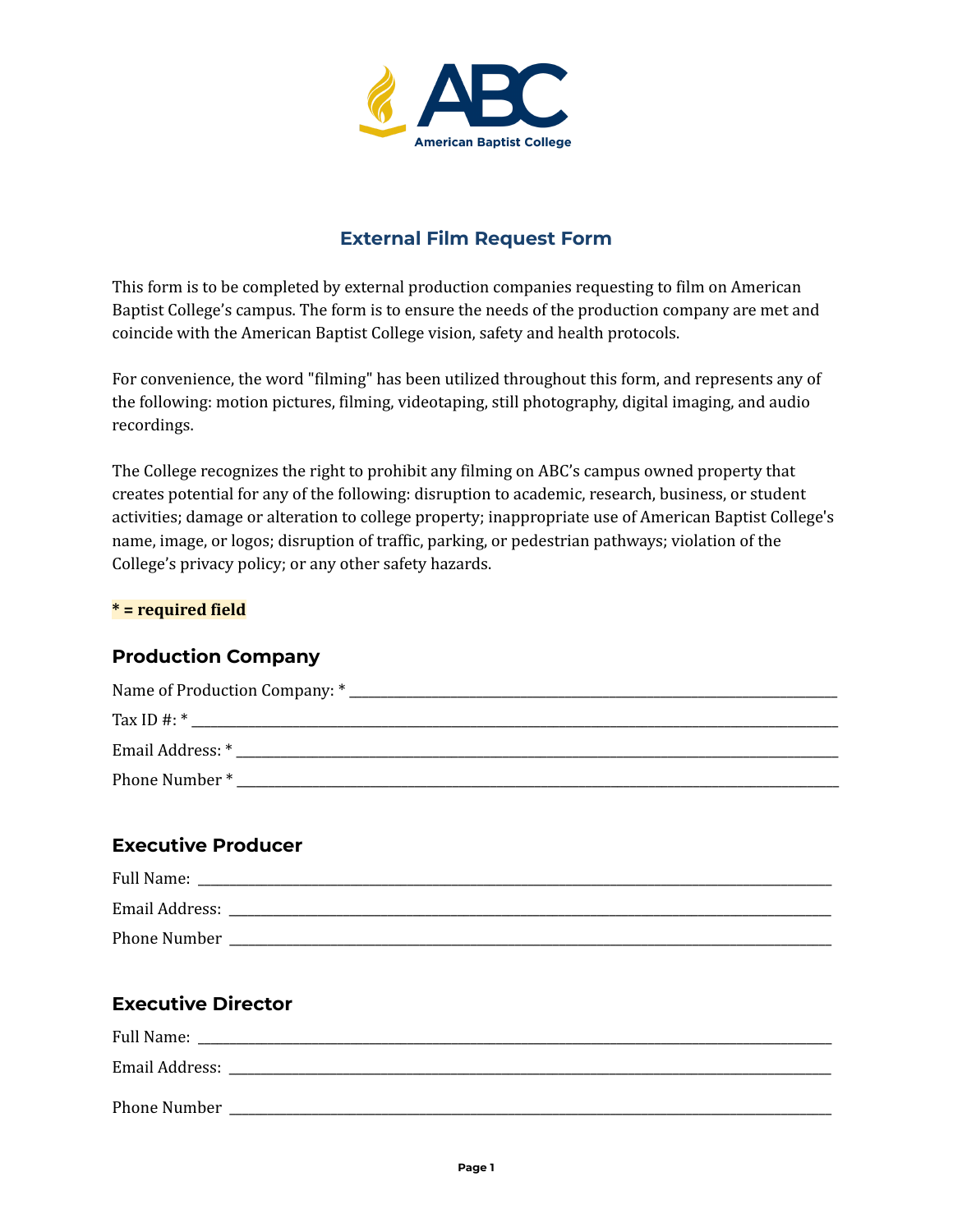

# **External Film Request Form**

This form is to be completed by external production companies requesting to film on American Baptist College's campus. The form is to ensure the needs of the production company are met and coincide with the American Baptist College vision, safety and health protocols.

For convenience, the word "filming" has been utilized throughout this form, and represents any of the following: motion pictures, filming, videotaping, still photography, digital imaging, and audio recordings.

The College recognizes the right to prohibit any filming on ABC's campus owned property that creates potential for any of the following: disruption to academic, research, business, or student activities; damage or alteration to college property; inappropriate use of American Baptist College's name, image, or logos; disruption of traffic, parking, or pedestrian pathways; violation of the College's privacy policy; or any other safety hazards.

#### **\* = required field**

### **Production Company**

| Name of Production Company: * |  |
|-------------------------------|--|
| Tax ID $\#$ : $*$             |  |
| Email Address: *              |  |
| Phone Number*                 |  |

### **Executive Producer**

| Full Name:     |
|----------------|
| Email Address: |
| Phone Number   |

## **Executive Director**

| Full Name:     |  |
|----------------|--|
| Email Address: |  |
| Phone Number   |  |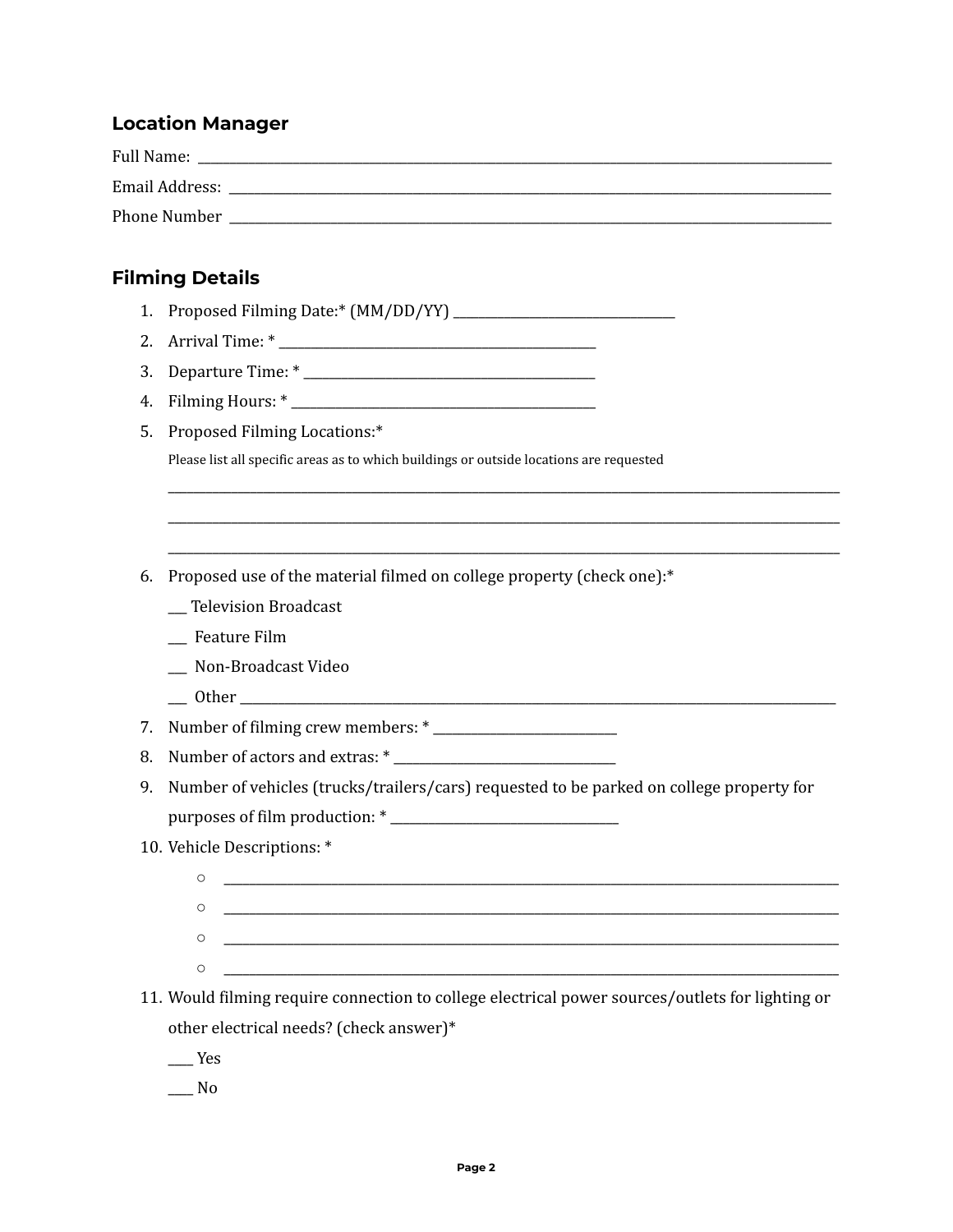### **Location Manager**

| <b>Full Name:</b> |
|-------------------|
| Email Address:    |
| Phone Number      |

## **Filming Details**

- 1. Proposed Filming Date:\* (MM/DD/YY) \_\_\_\_\_\_\_\_\_\_\_\_\_\_\_\_\_\_\_\_\_\_\_\_\_\_\_\_\_\_\_\_\_\_\_
- 2. Arrival Time: \* \_\_\_\_\_\_\_\_\_\_\_\_\_\_\_\_\_\_\_\_\_\_\_\_\_\_\_\_\_\_\_\_\_\_\_\_\_\_\_\_\_\_\_\_\_\_\_\_\_\_
- 3. Departure Time:  $*$
- 4. Filming Hours: \* \_\_\_\_\_\_\_\_\_\_\_\_\_\_\_\_\_\_\_\_\_\_\_\_\_\_\_\_\_\_\_\_\_\_\_\_\_\_\_\_\_\_\_\_\_\_\_\_
- 5. Proposed Filming Locations:\*

Please list all specific areas as to which buildings or outside locations are requested

6. Proposed use of the material filmed on college property (check one):\*

- \_\_\_ Television Broadcast
- \_\_\_ Feature Film
- \_\_\_ Non-Broadcast Video
- \_\_\_ Other \_\_\_\_\_\_\_\_\_\_\_\_\_\_\_\_\_\_\_\_\_\_\_\_\_\_\_\_\_\_\_\_\_\_\_\_\_\_\_\_\_\_\_\_\_\_\_\_\_\_\_\_\_\_\_\_\_\_\_\_\_\_\_\_\_\_\_\_\_\_\_\_\_\_\_\_\_\_\_\_\_\_\_\_\_\_\_\_\_\_\_\_\_\_

7. Number of filming crew members: \* \_\_\_\_\_\_\_\_\_\_\_\_\_\_\_\_\_\_\_\_\_\_\_\_\_\_\_\_\_

- 8. Number of actors and extras: \* \_\_\_\_\_\_\_\_\_\_\_\_\_\_\_\_\_\_\_\_\_\_\_\_\_\_\_\_\_\_\_\_\_\_\_
- 9. Number of vehicles (trucks/trailers/cars) requested to be parked on college property for purposes of film production: \* \_\_\_\_\_\_\_\_\_\_\_\_\_\_\_\_\_\_\_\_\_\_\_\_\_\_\_\_\_\_\_\_\_\_\_\_

\_\_\_\_\_\_\_\_\_\_\_\_\_\_\_\_\_\_\_\_\_\_\_\_\_\_\_\_\_\_\_\_\_\_\_\_\_\_\_\_\_\_\_\_\_\_\_\_\_\_\_\_\_\_\_\_\_\_\_\_\_\_\_\_\_\_\_\_\_\_\_\_\_\_\_\_\_\_\_\_\_\_\_\_\_\_\_\_\_\_\_\_\_\_\_\_\_\_\_\_\_\_\_\_\_\_ \_\_\_\_\_\_\_\_\_\_\_\_\_\_\_\_\_\_\_\_\_\_\_\_\_\_\_\_\_\_\_\_\_\_\_\_\_\_\_\_\_\_\_\_\_\_\_\_\_\_\_\_\_\_\_\_\_\_\_\_\_\_\_\_\_\_\_\_\_\_\_\_\_\_\_\_\_\_\_\_\_\_\_\_\_\_\_\_\_\_\_\_\_\_\_\_\_\_\_\_\_\_\_\_\_\_ \_\_\_\_\_\_\_\_\_\_\_\_\_\_\_\_\_\_\_\_\_\_\_\_\_\_\_\_\_\_\_\_\_\_\_\_\_\_\_\_\_\_\_\_\_\_\_\_\_\_\_\_\_\_\_\_\_\_\_\_\_\_\_\_\_\_\_\_\_\_\_\_\_\_\_\_\_\_\_\_\_\_\_\_\_\_\_\_\_\_\_\_\_\_\_\_\_\_\_\_\_\_\_\_\_\_

10. Vehicle Descriptions: \*

| $\circ$ |  |
|---------|--|
| C       |  |
| $\circ$ |  |
| $\circ$ |  |

11. Would filming require connection to college electrical power sources/outlets for lighting or other electrical needs? (check answer)\*

\_\_\_\_ Yes

 $\_\_$  No